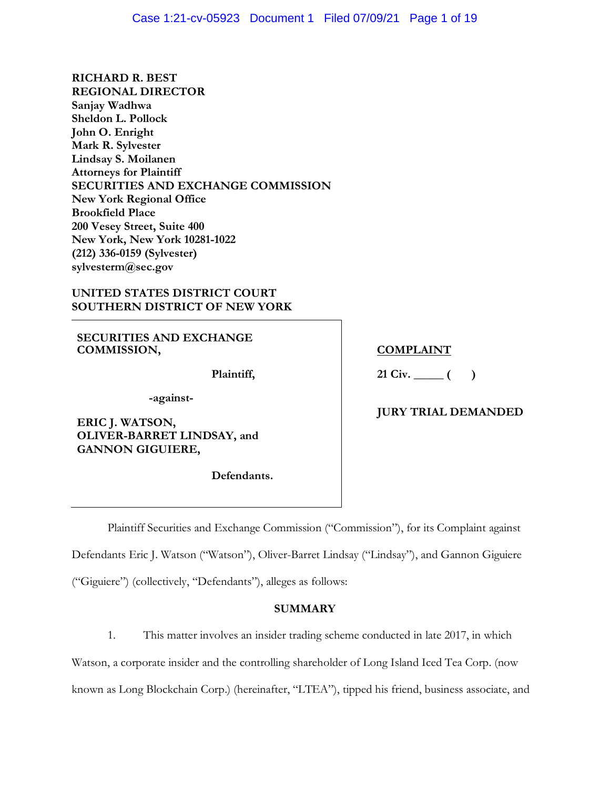**RICHARD R. BEST (212) 336-0159 (Sylvester) REGIONAL DIRECTOR Sanjay Wadhwa Sheldon L. Pollock John O. Enright Mark R. Sylvester Lindsay S. Moilanen Attorneys for Plaintiff SECURITIES AND EXCHANGE COMMISSION New York Regional Office Brookfield Place 200 Vesey Street, Suite 400 New York, New York 10281-1022 [sylvesterm@sec.gov](mailto:sylvesterm@sec.gov)** 

### **UNITED STATES DISTRICT COURT SOUTHERN DISTRICT OF NEW YORK**

**SECURITIES AND EXCHANGE COMMISSION,** 

**Plaintiff,** 

**-against-**

 **OLIVER-BARRET LINDSAY, and ERIC J. WATSON, GANNON GIGUIERE,** 

**Defendants.** 

### **COMPLAINT**

**21 Civ. \_\_\_\_\_ ( )** 

# **JURY TRIAL DEMANDED**

Plaintiff Securities and Exchange Commission ("Commission"), for its Complaint against

Defendants Eric J. Watson ("Watson"), Oliver-Barret Lindsay ("Lindsay"), and Gannon Giguiere

("Giguiere") (collectively, "Defendants"), alleges as follows:

#### **SUMMARY**

1. This matter involves an insider trading scheme conducted in late 2017, in which

Watson, a corporate insider and the controlling shareholder of Long Island Iced Tea Corp. (now

known as Long Blockchain Corp.) (hereinafter, "LTEA"), tipped his friend, business associate, and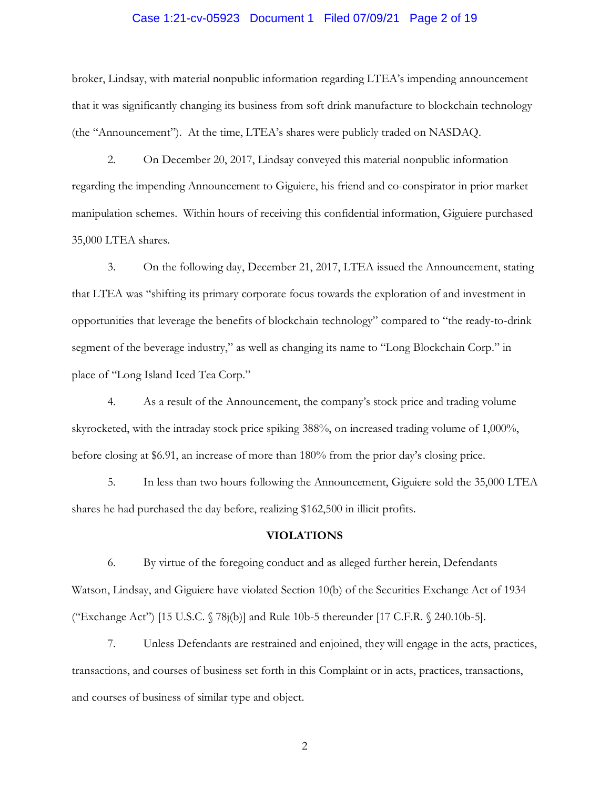# Case 1:21-cv-05923 Document 1 Filed 07/09/21 Page 2 of 19

 broker, Lindsay, with material nonpublic information regarding LTEA's impending announcement (the "Announcement"). At the time, LTEA's shares were publicly traded on NASDAQ. that it was significantly changing its business from soft drink manufacture to blockchain technology

 manipulation schemes. Within hours of receiving this confidential information, Giguiere purchased 2. On December 20, 2017, Lindsay conveyed this material nonpublic information regarding the impending Announcement to Giguiere, his friend and co-conspirator in prior market 35,000 LTEA shares.

segment of the beverage industry," as well as changing its name to "Long Blockchain Corp." in 3. On the following day, December 21, 2017, LTEA issued the Announcement, stating that LTEA was "shifting its primary corporate focus towards the exploration of and investment in opportunities that leverage the benefits of blockchain technology" compared to "the ready-to-drink place of "Long Island Iced Tea Corp."

 4. As a result of the Announcement, the company's stock price and trading volume skyrocketed, with the intraday stock price spiking 388%, on increased trading volume of 1,000%, before closing at \$6.91, an increase of more than 180% from the prior day's closing price.

 5. In less than two hours following the Announcement, Giguiere sold the 35,000 LTEA shares he had purchased the day before, realizing \$162,500 in illicit profits.

#### **VIOLATIONS**

 Watson, Lindsay, and Giguiere have violated Section 10(b) of the Securities Exchange Act of 1934 ("Exchange Act") [15 U.S.C. § 78j(b)] and Rule 10b-5 thereunder [17 C.F.R. § 240.10b-5]. 6. By virtue of the foregoing conduct and as alleged further herein, Defendants

 7. Unless Defendants are restrained and enjoined, they will engage in the acts, practices, transactions, and courses of business set forth in this Complaint or in acts, practices, transactions, and courses of business of similar type and object.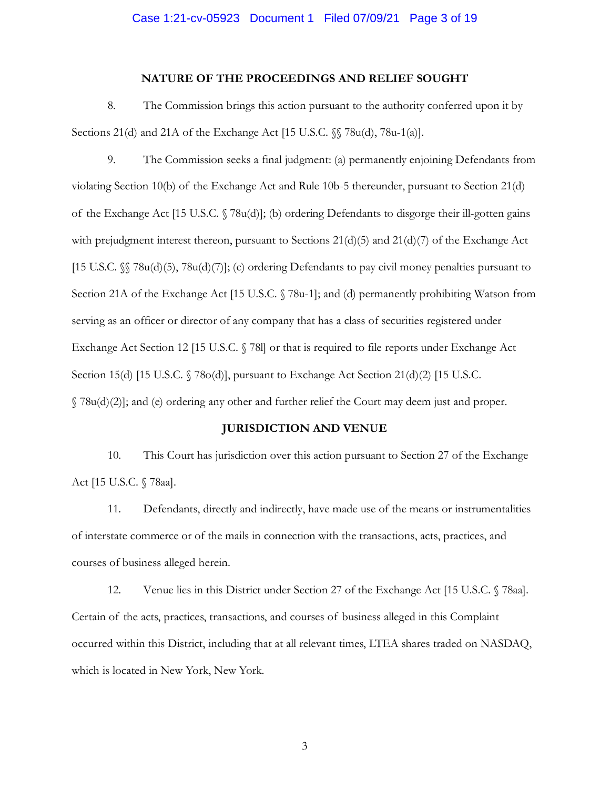#### **NATURE OF THE PROCEEDINGS AND RELIEF SOUGHT**

 8. The Commission brings this action pursuant to the authority conferred upon it by Sections 21(d) and 21A of the Exchange Act [15 U.S.C. §§ 78u(d), 78u-1(a)].

 of the Exchange Act [15 U.S.C. § 78u(d)]; (b) ordering Defendants to disgorge their ill-gotten gains with prejudgment interest thereon, pursuant to Sections 21(d)(5) and 21(d)(7) of the Exchange Act [15 U.S.C. §§ 78u(d)(5), 78u(d)(7)]; (c) ordering Defendants to pay civil money penalties pursuant to Section 21A of the Exchange Act [15 U.S.C. § 78u-1]; and (d) permanently prohibiting Watson from Exchange Act Section 12 [15 U.S.C. § 78l] or that is required to file reports under Exchange Act Section 15(d) [15 U.S.C. § 78o(d)], pursuant to Exchange Act Section 21(d)(2) [15 U.S.C. § 78u(d)(2)]; and (e) ordering any other and further relief the Court may deem just and proper. 9. The Commission seeks a final judgment: (a) permanently enjoining Defendants from violating Section 10(b) of the Exchange Act and Rule 10b-5 thereunder, pursuant to Section 21(d) serving as an officer or director of any company that has a class of securities registered under

#### **JURISDICTION AND VENUE**

 10. This Court has jurisdiction over this action pursuant to Section 27 of the Exchange Act [15 U.S.C. § 78aa].

 11. Defendants, directly and indirectly, have made use of the means or instrumentalities of interstate commerce or of the mails in connection with the transactions, acts, practices, and courses of business alleged herein.

 12. Venue lies in this District under Section 27 of the Exchange Act [15 U.S.C. § 78aa]. which is located in New York, New York. Certain of the acts, practices, transactions, and courses of business alleged in this Complaint occurred within this District, including that at all relevant times, LTEA shares traded on NASDAQ,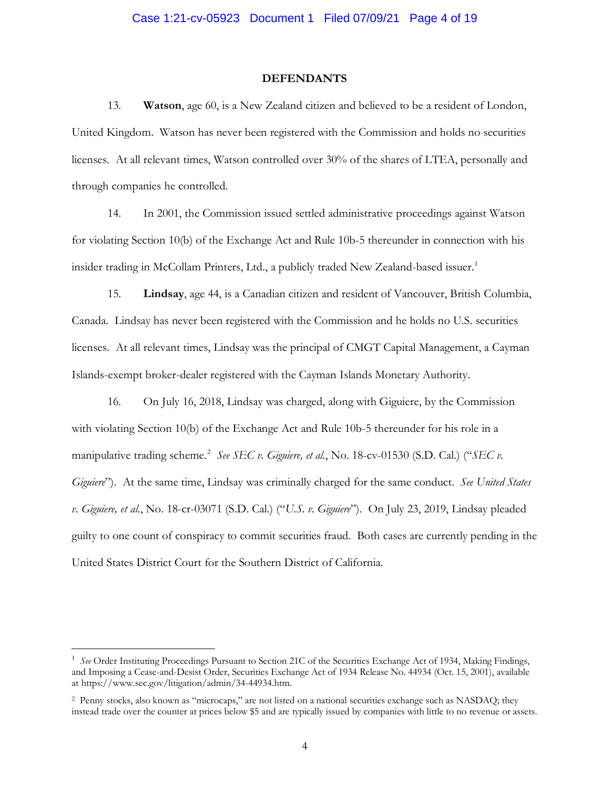#### **DEFENDANTS**

 United Kingdom. Watson has never been registered with the Commission and holds no securities licenses. At all relevant times, Watson controlled over 30% of the shares of LTEA, personally and 13. **Watson**, age 60, is a New Zealand citizen and believed to be a resident of London, through companies he controlled.

 for violating Section 10(b) of the Exchange Act and Rule 10b-5 thereunder in connection with his insider trading in McCollam Printers, Ltd., a publicly traded New Zealand-based issuer.<sup>1</sup> 14. In 2001, the Commission issued settled administrative proceedings against Watson

 15. **Lindsay**, age 44, is a Canadian citizen and resident of Vancouver, British Columbia, Canada. Lindsay has never been registered with the Commission and he holds no U.S. securities licenses. At all relevant times, Lindsay was the principal of CMGT Capital Management, a Cayman

 Islands-exempt broker-dealer registered with the Cayman Islands Monetary Authority. 16. On July 16, 2018, Lindsay was charged, along with Giguiere, by the Commission manipulative trading scheme. <sup>2</sup>*See SEC v. Giguiere, et al.*, No. 18-cv-01530 (S.D. Cal.) ("*SEC v. Giguiere*"). At the same time, Lindsay was criminally charged for the same conduct. *See United States*  guilty to one count of conspiracy to commit securities fraud. Both cases are currently pending in the with violating Section 10(b) of the Exchange Act and Rule 10b-5 thereunder for his role in a *v. Giguiere, et al.*, No. 18-cr-03071 (S.D. Cal.) ("*U.S. v. Giguiere*"). On July 23, 2019, Lindsay pleaded United States District Court for the Southern District of California.

 $\overline{a}$ 

<sup>&</sup>lt;sup>1</sup> See Order Instituting Proceedings Pursuant to Section 21C of the Securities Exchange Act of 1934, Making Findings, and Imposing a Cease-and-Desist Order, Securities Exchange Act of 1934 Release No. 44934 (Oct. 15, 2001), available at [https://www.sec.gov/litigation/admin/34-44934.htm.](https://www.sec.gov/litigation/admin/34-44934.htm)

 2 Penny stocks, also known as "microcaps," are not listed on a national securities exchange such as NASDAQ; they instead trade over the counter at prices below \$5 and are typically issued by companies with little to no revenue or assets.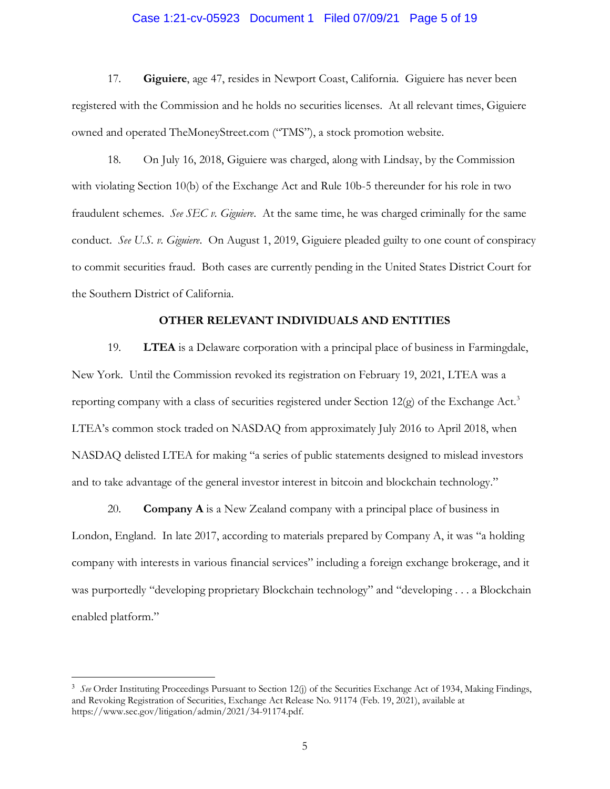### Case 1:21-cv-05923 Document 1 Filed 07/09/21 Page 5 of 19

 registered with the Commission and he holds no securities licenses. At all relevant times, Giguiere owned and operated [TheMoneyStreet.com](https://TheMoneyStreet.com) ("TMS"), a stock promotion website. 17. **Giguiere**, age 47, resides in Newport Coast, California. Giguiere has never been

 18. On July 16, 2018, Giguiere was charged, along with Lindsay, by the Commission with violating Section 10(b) of the Exchange Act and Rule 10b-5 thereunder for his role in two fraudulent schemes. *See SEC v. Giguiere*. At the same time, he was charged criminally for the same conduct. *See U.S. v. Giguiere*. On August 1, 2019, Giguiere pleaded guilty to one count of conspiracy to commit securities fraud. Both cases are currently pending in the United States District Court for the Southern District of California.

### **OTHER RELEVANT INDIVIDUALS AND ENTITIES**

 New York. Until the Commission revoked its registration on February 19, 2021, LTEA was a reporting company with a class of securities registered under Section 12(g) of the Exchange Act.<sup>3</sup> and to take advantage of the general investor interest in bitcoin and blockchain technology." 19. **LTEA** is a Delaware corporation with a principal place of business in Farmingdale, LTEA's common stock traded on NASDAQ from approximately July 2016 to April 2018, when NASDAQ delisted LTEA for making "a series of public statements designed to mislead investors

 20. **Company A** is a New Zealand company with a principal place of business in London, England. In late 2017, according to materials prepared by Company A, it was "a holding was purportedly "developing proprietary Blockchain technology" and "developing . . . a Blockchain enabled platform." company with interests in various financial services" including a foreign exchange brokerage, and it

-

<sup>&</sup>lt;sup>3</sup> See Order Instituting Proceedings Pursuant to Section 12(j) of the Securities Exchange Act of 1934, Making Findings, [https://www.sec.gov/litigation/admin/2021/34-91174.pdf.](https://www.sec.gov/litigation/admin/2021/34-91174.pdf) 5 and Revoking Registration of Securities, Exchange Act Release No. 91174 (Feb. 19, 2021), available at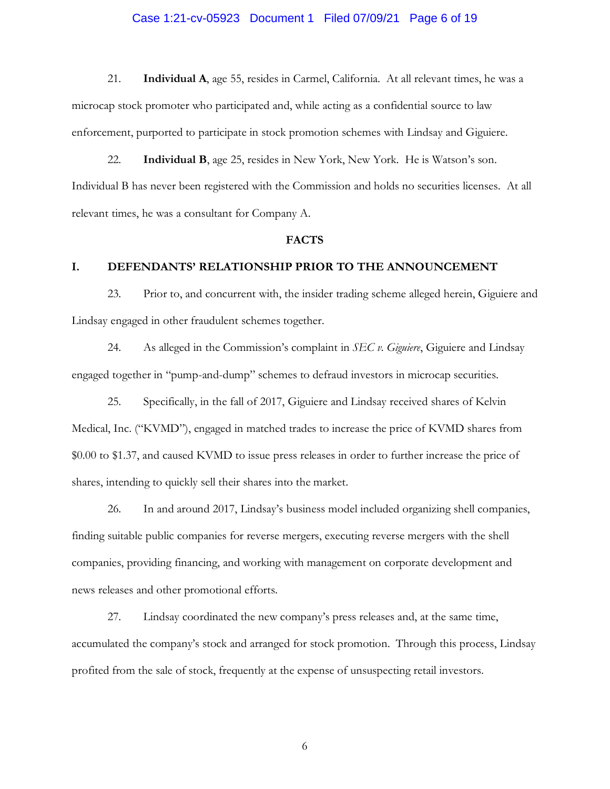### Case 1:21-cv-05923 Document 1 Filed 07/09/21 Page 6 of 19

 21. **Individual A**, age 55, resides in Carmel, California. At all relevant times, he was a microcap stock promoter who participated and, while acting as a confidential source to law enforcement, purported to participate in stock promotion schemes with Lindsay and Giguiere.

 22. **Individual B**, age 25, resides in New York, New York. He is Watson's son. Individual B has never been registered with the Commission and holds no securities licenses. At all relevant times, he was a consultant for Company A.

#### **FACTS**

#### **I. DEFENDANTS' RELATIONSHIP PRIOR TO THE ANNOUNCEMENT**

 23. Prior to, and concurrent with, the insider trading scheme alleged herein, Giguiere and Lindsay engaged in other fraudulent schemes together.

 24. As alleged in the Commission's complaint in *SEC v. Giguiere*, Giguiere and Lindsay engaged together in "pump-and-dump" schemes to defraud investors in microcap securities. 25. Specifically, in the fall of 2017, Giguiere and Lindsay received shares of Kelvin

 Medical, Inc. ("KVMD"), engaged in matched trades to increase the price of KVMD shares from \$0.00 to \$1.37, and caused KVMD to issue press releases in order to further increase the price of shares, intending to quickly sell their shares into the market.

 finding suitable public companies for reverse mergers, executing reverse mergers with the shell news releases and other promotional efforts. news releases and other promotional efforts.<br>27. Lindsay coordinated the new company's press releases and, at the same time, 26. In and around 2017, Lindsay's business model included organizing shell companies, companies, providing financing, and working with management on corporate development and

 accumulated the company's stock and arranged for stock promotion. Through this process, Lindsay profited from the sale of stock, frequently at the expense of unsuspecting retail investors.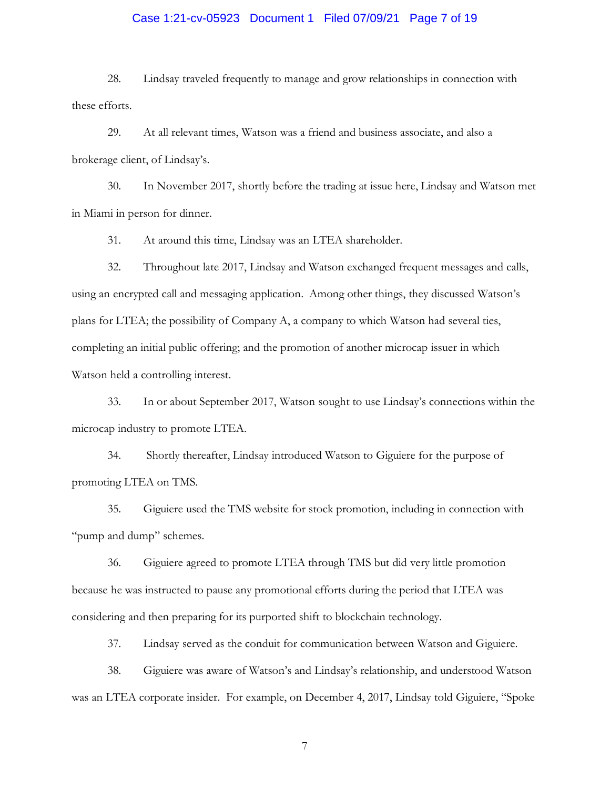### Case 1:21-cv-05923 Document 1 Filed 07/09/21 Page 7 of 19

28. Lindsay traveled frequently to manage and grow relationships in connection with these efforts.

 29. At all relevant times, Watson was a friend and business associate, and also a brokerage client, of Lindsay's.

 30. In November 2017, shortly before the trading at issue here, Lindsay and Watson met in Miami in person for dinner.

31. At around this time, Lindsay was an LTEA shareholder.

 using an encrypted call and messaging application. Among other things, they discussed Watson's 32. Throughout late 2017, Lindsay and Watson exchanged frequent messages and calls, plans for LTEA; the possibility of Company A, a company to which Watson had several ties, completing an initial public offering; and the promotion of another microcap issuer in which Watson held a controlling interest.

microcap industry to promote LTEA. microcap industry to promote LTEA. 34. Shortly thereafter, Lindsay introduced Watson to Giguiere for the purpose of 33. In or about September 2017, Watson sought to use Lindsay's connections within the

promoting LTEA on TMS.

35. Giguiere used the TMS website for stock promotion, including in connection with "pump and dump" schemes.

 because he was instructed to pause any promotional efforts during the period that LTEA was 36. Giguiere agreed to promote LTEA through TMS but did very little promotion considering and then preparing for its purported shift to blockchain technology.

37. Lindsay served as the conduit for communication between Watson and Giguiere.

 38. Giguiere was aware of Watson's and Lindsay's relationship, and understood Watson was an LTEA corporate insider. For example, on December 4, 2017, Lindsay told Giguiere, "Spoke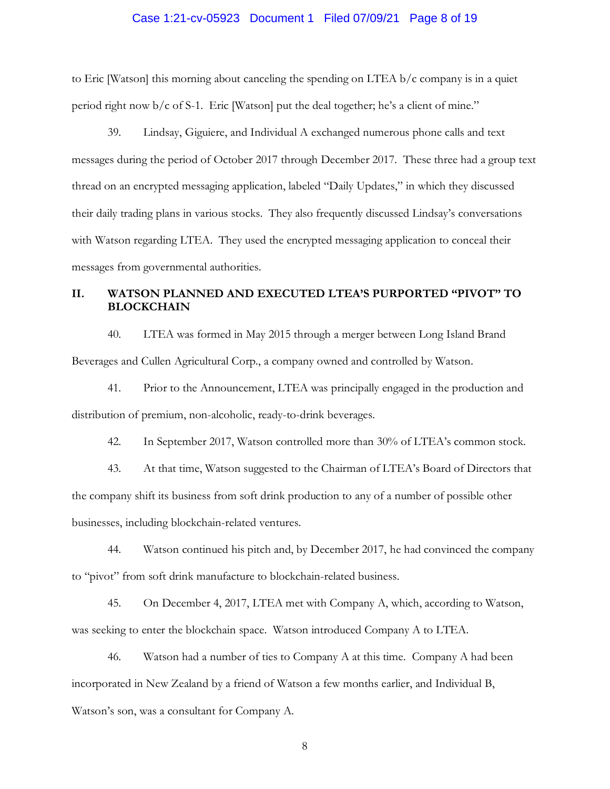### Case 1:21-cv-05923 Document 1 Filed 07/09/21 Page 8 of 19

 to Eric [Watson] this morning about canceling the spending on LTEA b/c company is in a quiet period right now b/c of S-1. Eric [Watson] put the deal together; he's a client of mine."

 39. Lindsay, Giguiere, and Individual A exchanged numerous phone calls and text their daily trading plans in various stocks. They also frequently discussed Lindsay's conversations with Watson regarding LTEA. They used the encrypted messaging application to conceal their messages during the period of October 2017 through December 2017. These three had a group text thread on an encrypted messaging application, labeled "Daily Updates," in which they discussed messages from governmental authorities.

# **II. WATSON PLANNED AND EXECUTED LTEA'S PURPORTED "PIVOT" TO BLOCKCHAIN**

 40. LTEA was formed in May 2015 through a merger between Long Island Brand Beverages and Cullen Agricultural Corp., a company owned and controlled by Watson.

41. Prior to the Announcement, LTEA was principally engaged in the production and distribution of premium, non-alcoholic, ready-to-drink beverages.

42. In September 2017, Watson controlled more than 30% of LTEA's common stock.

 43. At that time, Watson suggested to the Chairman of LTEA's Board of Directors that businesses, including blockchain-related ventures. the company shift its business from soft drink production to any of a number of possible other

to "pivot" from soft drink manufacture to blockchain-related business. to "pivot" from soft drink manufacture to blockchain-related business. 45. On December 4, 2017, LTEA met with Company A, which, according to Watson, 44. Watson continued his pitch and, by December 2017, he had convinced the company

was seeking to enter the blockchain space. Watson introduced Company A to LTEA.

 46. Watson had a number of ties to Company A at this time. Company A had been Watson's son, was a consultant for Company A. incorporated in New Zealand by a friend of Watson a few months earlier, and Individual B,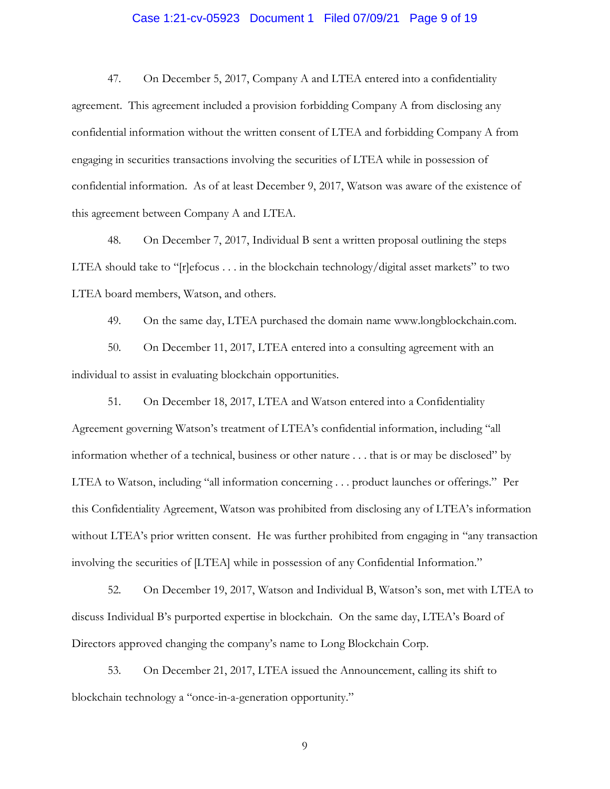# Case 1:21-cv-05923 Document 1 Filed 07/09/21 Page 9 of 19

 agreement. This agreement included a provision forbidding Company A from disclosing any engaging in securities transactions involving the securities of LTEA while in possession of confidential information. As of at least December 9, 2017, Watson was aware of the existence of 47. On December 5, 2017, Company A and LTEA entered into a confidentiality confidential information without the written consent of LTEA and forbidding Company A from this agreement between Company A and LTEA.

 LTEA should take to "[r]efocus . . . in the blockchain technology/digital asset markets" to two 48. On December 7, 2017, Individual B sent a written proposal outlining the steps LTEA board members, Watson, and others.

49. On the same day, LTEA purchased the domain name <www.longblockchain.com>.

50. On December 11, 2017, LTEA entered into a consulting agreement with an individual to assist in evaluating blockchain opportunities.

 information whether of a technical, business or other nature . . . that is or may be disclosed" by LTEA to Watson, including "all information concerning . . . product launches or offerings." Per without LTEA's prior written consent. He was further prohibited from engaging in "any transaction involving the securities of [LTEA] while in possession of any Confidential Information." 51. On December 18, 2017, LTEA and Watson entered into a Confidentiality Agreement governing Watson's treatment of LTEA's confidential information, including "all this Confidentiality Agreement, Watson was prohibited from disclosing any of LTEA's information

 52. On December 19, 2017, Watson and Individual B, Watson's son, met with LTEA to discuss Individual B's purported expertise in blockchain. On the same day, LTEA's Board of Directors approved changing the company's name to Long Blockchain Corp.

 53. On December 21, 2017, LTEA issued the Announcement, calling its shift to blockchain technology a "once-in-a-generation opportunity."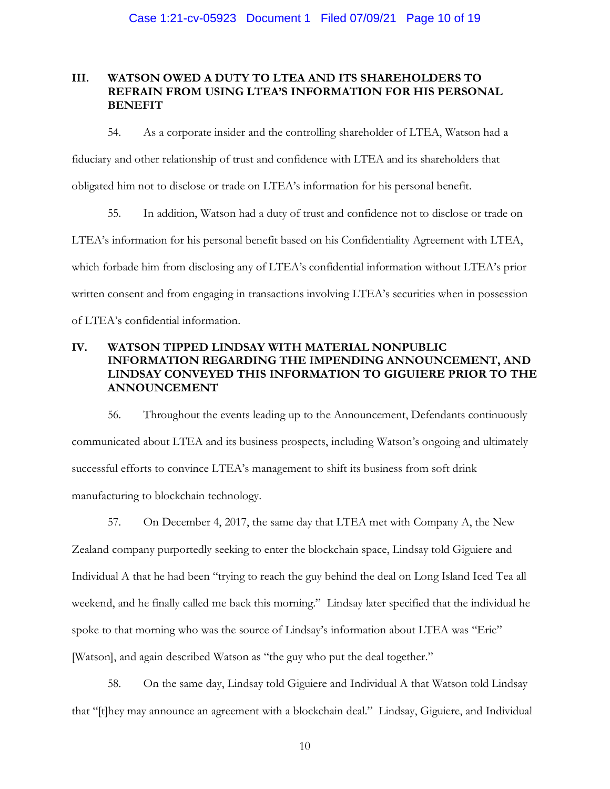# **III. WATSON OWED A DUTY TO LTEA AND ITS SHAREHOLDERS TO REFRAIN FROM USING LTEA'S INFORMATION FOR HIS PERSONAL BENEFIT**

 obligated him not to disclose or trade on LTEA's information for his personal benefit. 54. As a corporate insider and the controlling shareholder of LTEA, Watson had a fiduciary and other relationship of trust and confidence with LTEA and its shareholders that

 which forbade him from disclosing any of LTEA's confidential information without LTEA's prior written consent and from engaging in transactions involving LTEA's securities when in possession 55. In addition, Watson had a duty of trust and confidence not to disclose or trade on LTEA's information for his personal benefit based on his Confidentiality Agreement with LTEA, of LTEA's confidential information.

# **IV. WATSON TIPPED LINDSAY WITH MATERIAL NONPUBLIC INFORMATION REGARDING THE IMPENDING ANNOUNCEMENT, AND LINDSAY CONVEYED THIS INFORMATION TO GIGUIERE PRIOR TO THE ANNOUNCEMENT**

 56. Throughout the events leading up to the Announcement, Defendants continuously successful efforts to convince LTEA's management to shift its business from soft drink communicated about LTEA and its business prospects, including Watson's ongoing and ultimately manufacturing to blockchain technology.

 57. On December 4, 2017, the same day that LTEA met with Company A, the New Zealand company purportedly seeking to enter the blockchain space, Lindsay told Giguiere and Individual A that he had been "trying to reach the guy behind the deal on Long Island Iced Tea all weekend, and he finally called me back this morning." Lindsay later specified that the individual he spoke to that morning who was the source of Lindsay's information about LTEA was "Eric" [Watson], and again described Watson as "the guy who put the deal together."

 58. On the same day, Lindsay told Giguiere and Individual A that Watson told Lindsay that "[t]hey may announce an agreement with a blockchain deal." Lindsay, Giguiere, and Individual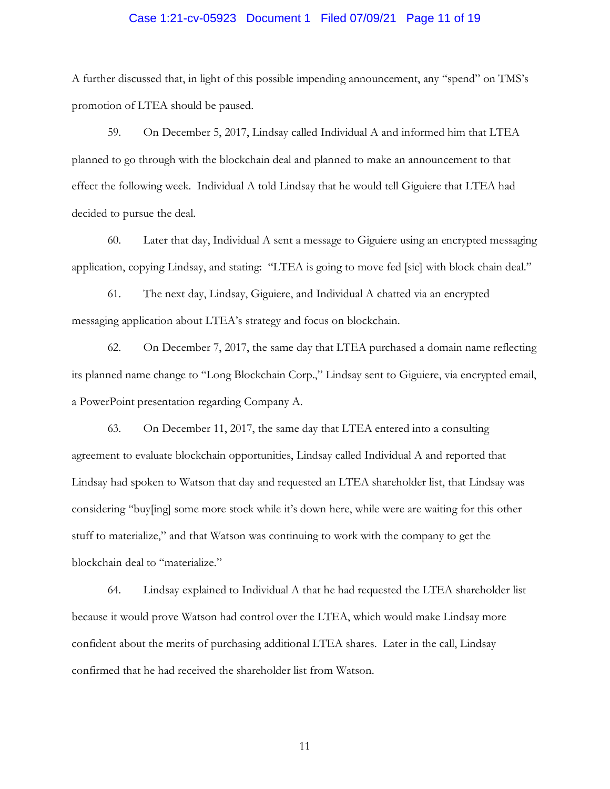### Case 1:21-cv-05923 Document 1 Filed 07/09/21 Page 11 of 19

A further discussed that, in light of this possible impending announcement, any "spend" on TMS's promotion of LTEA should be paused.

 59. On December 5, 2017, Lindsay called Individual A and informed him that LTEA planned to go through with the blockchain deal and planned to make an announcement to that effect the following week. Individual A told Lindsay that he would tell Giguiere that LTEA had decided to pursue the deal.

 60. Later that day, Individual A sent a message to Giguiere using an encrypted messaging application, copying Lindsay, and stating: "LTEA is going to move fed [sic] with block chain deal." 61. The next day, Lindsay, Giguiere, and Individual A chatted via an encrypted

The next day, Lindsay, Giguiere, and Individual A chatted via an encrypted messaging application about LTEA's strategy and focus on blockchain.

 62. On December 7, 2017, the same day that LTEA purchased a domain name reflecting its planned name change to "Long Blockchain Corp.," Lindsay sent to Giguiere, via encrypted email, a PowerPoint presentation regarding Company A.

 agreement to evaluate blockchain opportunities, Lindsay called Individual A and reported that stuff to materialize," and that Watson was continuing to work with the company to get the blockchain deal to "materialize." 63. On December 11, 2017, the same day that LTEA entered into a consulting Lindsay had spoken to Watson that day and requested an LTEA shareholder list, that Lindsay was considering "buy[ing] some more stock while it's down here, while were are waiting for this other

 blockchain deal to "materialize." 64. Lindsay explained to Individual A that he had requested the LTEA shareholder list because it would prove Watson had control over the LTEA, which would make Lindsay more confident about the merits of purchasing additional LTEA shares. Later in the call, Lindsay confirmed that he had received the shareholder list from Watson.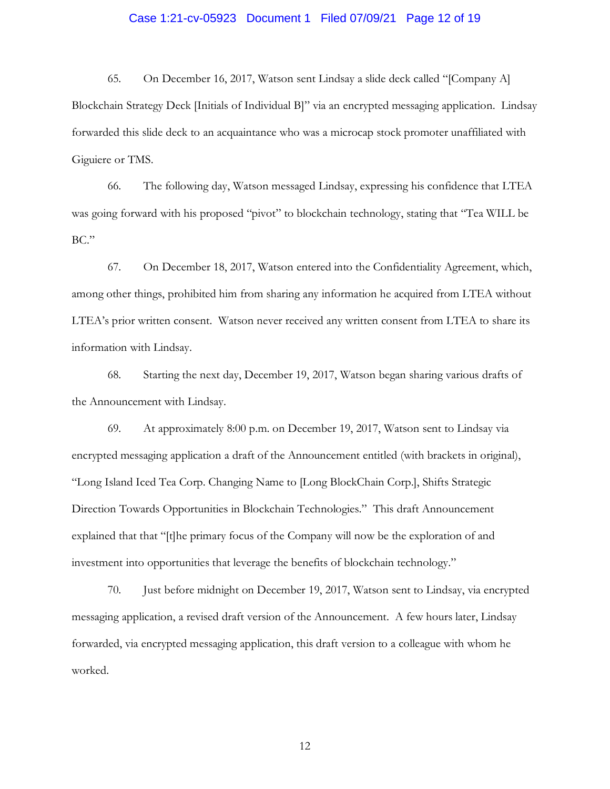# Case 1:21-cv-05923 Document 1 Filed 07/09/21 Page 12 of 19

 Blockchain Strategy Deck [Initials of Individual B]" via an encrypted messaging application. Lindsay forwarded this slide deck to an acquaintance who was a microcap stock promoter unaffiliated with 65. On December 16, 2017, Watson sent Lindsay a slide deck called "[Company A] Giguiere or TMS.

 66. The following day, Watson messaged Lindsay, expressing his confidence that LTEA BC." was going forward with his proposed "pivot" to blockchain technology, stating that "Tea WILL be

67. On December 18, 2017, Watson entered into the Confidentiality Agreement, which, among other things, prohibited him from sharing any information he acquired from LTEA without LTEA's prior written consent. Watson never received any written consent from LTEA to share its information with Lindsay.

the Announcement with Lindsay. 68. Starting the next day, December 19, 2017, Watson began sharing various drafts of

 "Long Island Iced Tea Corp. Changing Name to [Long BlockChain Corp.], Shifts Strategic investment into opportunities that leverage the benefits of blockchain technology." 69. At approximately 8:00 p.m. on December 19, 2017, Watson sent to Lindsay via encrypted messaging application a draft of the Announcement entitled (with brackets in original), Direction Towards Opportunities in Blockchain Technologies." This draft Announcement explained that that "[t]he primary focus of the Company will now be the exploration of and

 messaging application, a revised draft version of the Announcement. A few hours later, Lindsay forwarded, via encrypted messaging application, this draft version to a colleague with whom he 70. Just before midnight on December 19, 2017, Watson sent to Lindsay, via encrypted worked.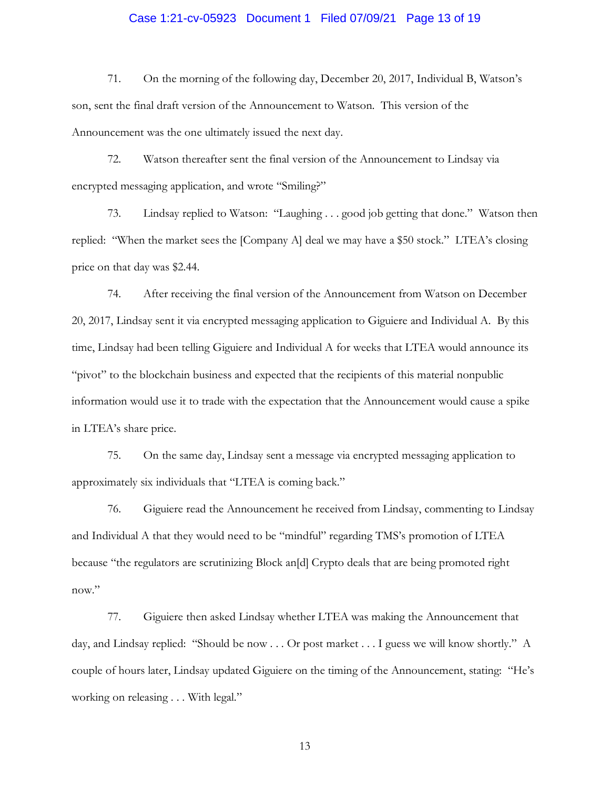# Case 1:21-cv-05923 Document 1 Filed 07/09/21 Page 13 of 19

 71. On the morning of the following day, December 20, 2017, Individual B, Watson's son, sent the final draft version of the Announcement to Watson. This version of the Announcement was the one ultimately issued the next day.

72. Watson thereafter sent the final version of the Announcement to Lindsay via encrypted messaging application, and wrote "Smiling?"

73. Lindsay replied to Watson: "Laughing . . . good job getting that done." Watson then replied: "When the market sees the [Company A] deal we may have a \$50 stock." LTEA's closing price on that day was \$2.44.

 20, 2017, Lindsay sent it via encrypted messaging application to Giguiere and Individual A. By this time, Lindsay had been telling Giguiere and Individual A for weeks that LTEA would announce its 74. After receiving the final version of the Announcement from Watson on December "pivot" to the blockchain business and expected that the recipients of this material nonpublic information would use it to trade with the expectation that the Announcement would cause a spike in LTEA's share price.

75. On the same day, Lindsay sent a message via encrypted messaging application to approximately six individuals that "LTEA is coming back."

 76. Giguiere read the Announcement he received from Lindsay, commenting to Lindsay and Individual A that they would need to be "mindful" regarding TMS's promotion of LTEA because "the regulators are scrutinizing Block an[d] Crypto deals that are being promoted right now."

 day, and Lindsay replied: "Should be now . . . Or post market . . . I guess we will know shortly." A 77. Giguiere then asked Lindsay whether LTEA was making the Announcement that couple of hours later, Lindsay updated Giguiere on the timing of the Announcement, stating: "He's working on releasing . . . With legal."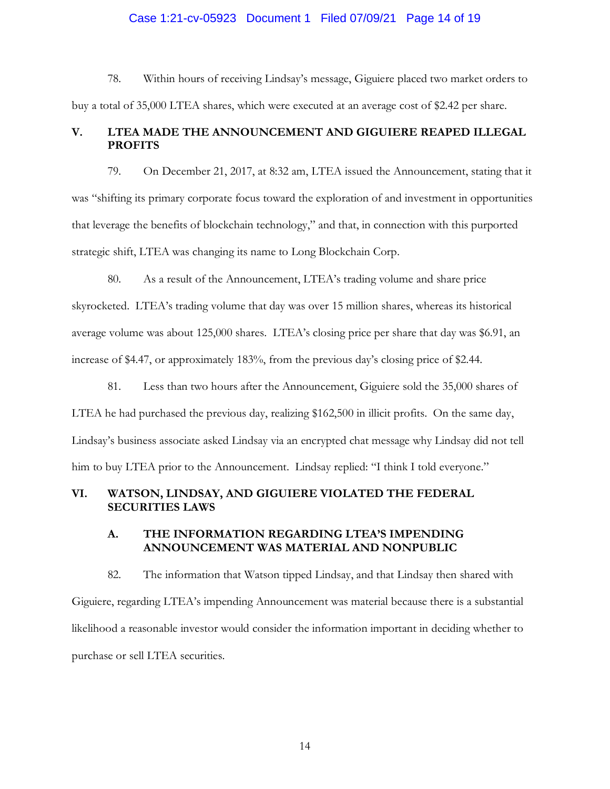### Case 1:21-cv-05923 Document 1 Filed 07/09/21 Page 14 of 19

78. Within hours of receiving Lindsay's message, Giguiere placed two market orders to buy a total of 35,000 LTEA shares, which were executed at an average cost of \$2.42 per share.

### **V. LTEA MADE THE ANNOUNCEMENT AND GIGUIERE REAPED ILLEGAL PROFITS**

 79. On December 21, 2017, at 8:32 am, LTEA issued the Announcement, stating that it was "shifting its primary corporate focus toward the exploration of and investment in opportunities that leverage the benefits of blockchain technology," and that, in connection with this purported strategic shift, LTEA was changing its name to Long Blockchain Corp.

 80. As a result of the Announcement, LTEA's trading volume and share price skyrocketed. LTEA's trading volume that day was over 15 million shares, whereas its historical average volume was about 125,000 shares. LTEA's closing price per share that day was \$6.91, an increase of \$4.47, or approximately 183%, from the previous day's closing price of \$2.44.

 81. Less than two hours after the Announcement, Giguiere sold the 35,000 shares of LTEA he had purchased the previous day, realizing \$162,500 in illicit profits. On the same day, Lindsay's business associate asked Lindsay via an encrypted chat message why Lindsay did not tell him to buy LTEA prior to the Announcement. Lindsay replied: "I think I told everyone."

# **VI. WATSON, LINDSAY, AND GIGUIERE VIOLATED THE FEDERAL SECURITIES LAWS**

### **A. THE INFORMATION REGARDING LTEA'S IMPENDING ANNOUNCEMENT WAS MATERIAL AND NONPUBLIC**

 82. The information that Watson tipped Lindsay, and that Lindsay then shared with purchase or sell LTEA securities. Giguiere, regarding LTEA's impending Announcement was material because there is a substantial likelihood a reasonable investor would consider the information important in deciding whether to purchase or sell LTEA securities.<br> 14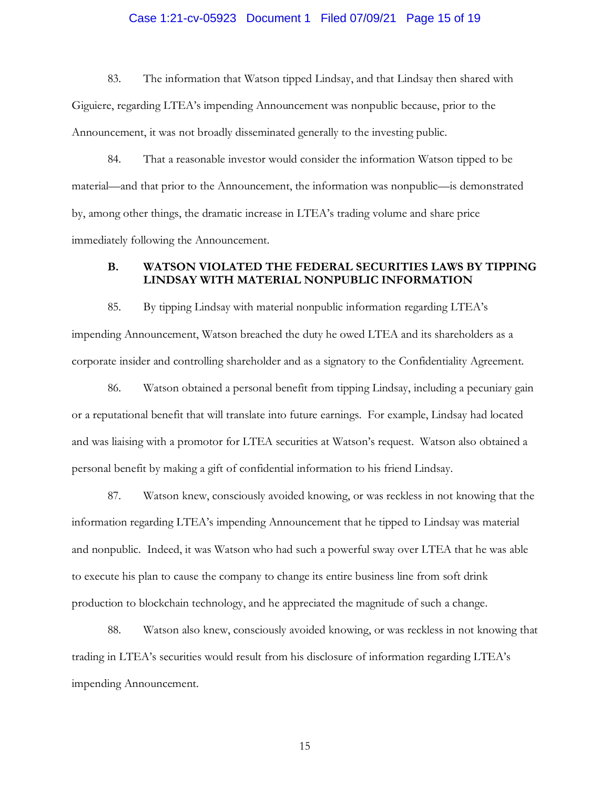### Case 1:21-cv-05923 Document 1 Filed 07/09/21 Page 15 of 19

 83. The information that Watson tipped Lindsay, and that Lindsay then shared with Giguiere, regarding LTEA's impending Announcement was nonpublic because, prior to the Announcement, it was not broadly disseminated generally to the investing public.

 by, among other things, the dramatic increase in LTEA's trading volume and share price immediately following the Announcement. 84. That a reasonable investor would consider the information Watson tipped to be material—and that prior to the Announcement, the information was nonpublic—is demonstrated

### **B. WATSON VIOLATED THE FEDERAL SECURITIES LAWS BY TIPPING LINDSAY WITH MATERIAL NONPUBLIC INFORMATION**

85. By tipping Lindsay with material nonpublic information regarding LTEA's impending Announcement, Watson breached the duty he owed LTEA and its shareholders as a corporate insider and controlling shareholder and as a signatory to the Confidentiality Agreement.

 personal benefit by making a gift of confidential information to his friend Lindsay. 86. Watson obtained a personal benefit from tipping Lindsay, including a pecuniary gain or a reputational benefit that will translate into future earnings. For example, Lindsay had located and was liaising with a promotor for LTEA securities at Watson's request. Watson also obtained a

 87. Watson knew, consciously avoided knowing, or was reckless in not knowing that the and nonpublic. Indeed, it was Watson who had such a powerful sway over LTEA that he was able information regarding LTEA's impending Announcement that he tipped to Lindsay was material to execute his plan to cause the company to change its entire business line from soft drink production to blockchain technology, and he appreciated the magnitude of such a change.

88. Watson also knew, consciously avoided knowing, or was reckless in not knowing that trading in LTEA's securities would result from his disclosure of information regarding LTEA's impending Announcement.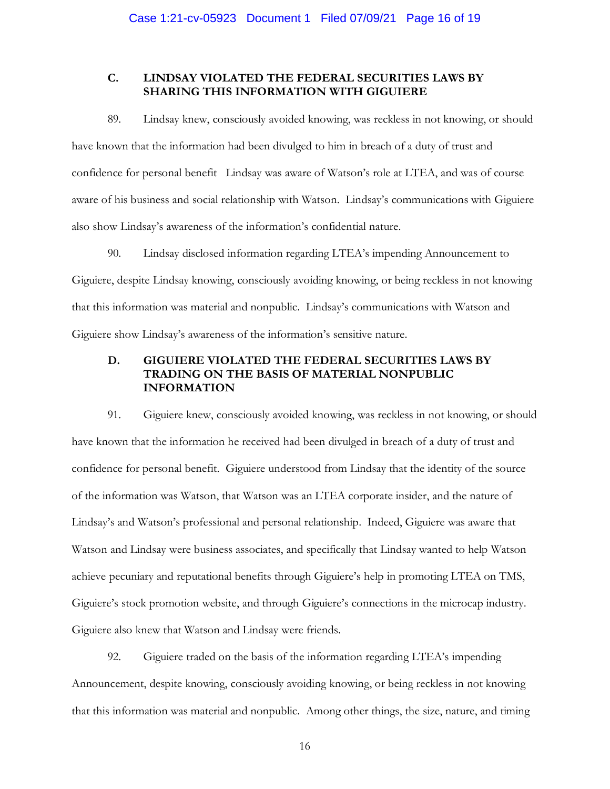# **C. LINDSAY VIOLATED THE FEDERAL SECURITIES LAWS BY SHARING THIS INFORMATION WITH GIGUIERE**

 have known that the information had been divulged to him in breach of a duty of trust and confidence for personal benefit Lindsay was aware of Watson's role at LTEA, and was of course aware of his business and social relationship with Watson. Lindsay's communications with Giguiere also show Lindsay's awareness of the information's confidential nature. 89. Lindsay knew, consciously avoided knowing, was reckless in not knowing, or should

 also show Lindsay's awareness of the information's confidential nature. 90. Lindsay disclosed information regarding LTEA's impending Announcement to that this information was material and nonpublic. Lindsay's communications with Watson and Giguiere show Lindsay's awareness of the information's sensitive nature. Giguiere, despite Lindsay knowing, consciously avoiding knowing, or being reckless in not knowing

# **TRADING ON THE BASIS OF MATERIAL NONPUBLIC D. GIGUIERE VIOLATED THE FEDERAL SECURITIES LAWS BY INFORMATION**

 confidence for personal benefit. Giguiere understood from Lindsay that the identity of the source of the information was Watson, that Watson was an LTEA corporate insider, and the nature of Giguiere also knew that Watson and Lindsay were friends. 91. Giguiere knew, consciously avoided knowing, was reckless in not knowing, or should have known that the information he received had been divulged in breach of a duty of trust and Lindsay's and Watson's professional and personal relationship. Indeed, Giguiere was aware that Watson and Lindsay were business associates, and specifically that Lindsay wanted to help Watson achieve pecuniary and reputational benefits through Giguiere's help in promoting LTEA on TMS, Giguiere's stock promotion website, and through Giguiere's connections in the microcap industry.

 92. Giguiere traded on the basis of the information regarding LTEA's impending Announcement, despite knowing, consciously avoiding knowing, or being reckless in not knowing that this information was material and nonpublic. Among other things, the size, nature, and timing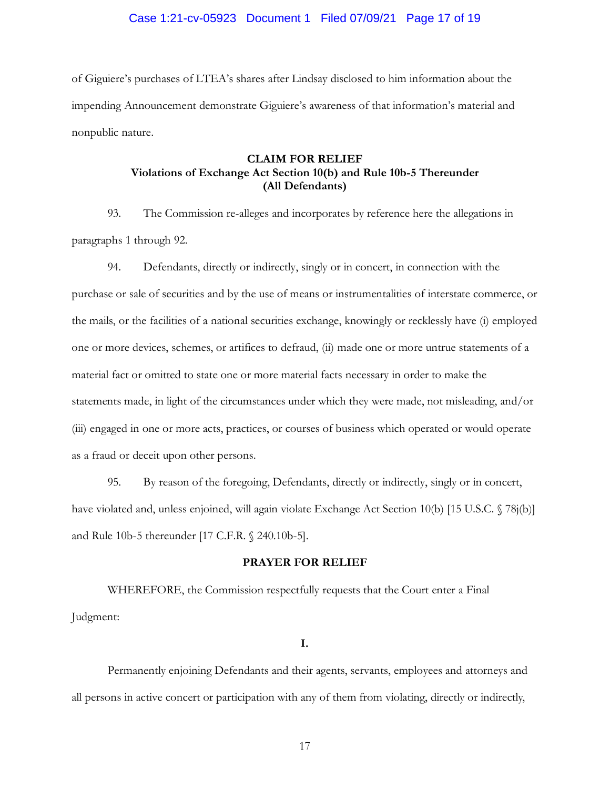# Case 1:21-cv-05923 Document 1 Filed 07/09/21 Page 17 of 19

 nonpublic nature. of Giguiere's purchases of LTEA's shares after Lindsay disclosed to him information about the impending Announcement demonstrate Giguiere's awareness of that information's material and

# **CLAIM FOR RELIEF Violations of Exchange Act Section 10(b) and Rule 10b-5 Thereunder (All Defendants)**

 paragraphs 1 through 92. 93. The Commission re-alleges and incorporates by reference here the allegations in

 purchase or sale of securities and by the use of means or instrumentalities of interstate commerce, or material fact or omitted to state one or more material facts necessary in order to make the (iii) engaged in one or more acts, practices, or courses of business which operated or would operate 94. Defendants, directly or indirectly, singly or in concert, in connection with the the mails, or the facilities of a national securities exchange, knowingly or recklessly have (i) employed one or more devices, schemes, or artifices to defraud, (ii) made one or more untrue statements of a statements made, in light of the circumstances under which they were made, not misleading, and/or as a fraud or deceit upon other persons.

 and Rule 10b-5 thereunder [17 C.F.R. § 240.10b-5]. 95. By reason of the foregoing, Defendants, directly or indirectly, singly or in concert, have violated and, unless enjoined, will again violate Exchange Act Section 10(b) [15 U.S.C. § 78j(b)]

#### **PRAYER FOR RELIEF**

WHEREFORE, the Commission respectfully requests that the Court enter a Final Judgment:

**I.** 

Permanently enjoining Defendants and their agents, servants, employees and attorneys and all persons in active concert or participation with any of them from violating, directly or indirectly,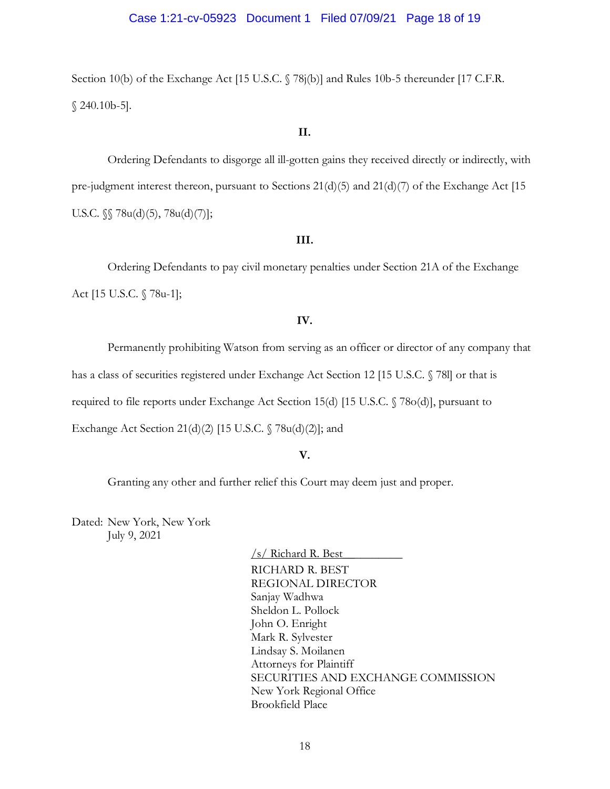### Case 1:21-cv-05923 Document 1 Filed 07/09/21 Page 18 of 19

Section 10(b) of the Exchange Act [15 U.S.C. § 78j(b)] and Rules 10b-5 thereunder [17 C.F.R. § 240.10b-5].

#### **II.**

 pre-judgment interest thereon, pursuant to Sections 21(d)(5) and 21(d)(7) of the Exchange Act [15 Ordering Defendants to disgorge all ill-gotten gains they received directly or indirectly, with U.S.C. §§ 78u(d)(5), 78u(d)(7)];

#### **III.**

 Ordering Defendants to pay civil monetary penalties under Section 21A of the Exchange Act [15 U.S.C. § 78u-1];

### **IV.**

Permanently prohibiting Watson from serving as an officer or director of any company that

has a class of securities registered under Exchange Act Section 12 [15 U.S.C. § 78l] or that is

required to file reports under Exchange Act Section 15(d) [15 U.S.C. § 78o(d)], pursuant to

Exchange Act Section 21(d)(2) [15 U.S.C. § 78u(d)(2)]; and

### **V.**

Granting any other and further relief this Court may deem just and proper.

 July 9, 2021 Dated: New York, New York

> /s/ Richard R. Best\_\_\_\_\_\_\_\_\_\_ RICHARD R. BEST REGIONAL DIRECTOR Sanjay Wadhwa Sheldon L. Pollock John O. Enright Mark R. Sylvester Lindsay S. Moilanen Attorneys for Plaintiff SECURITIES AND EXCHANGE COMMISSION New York Regional Office Brookfield Place